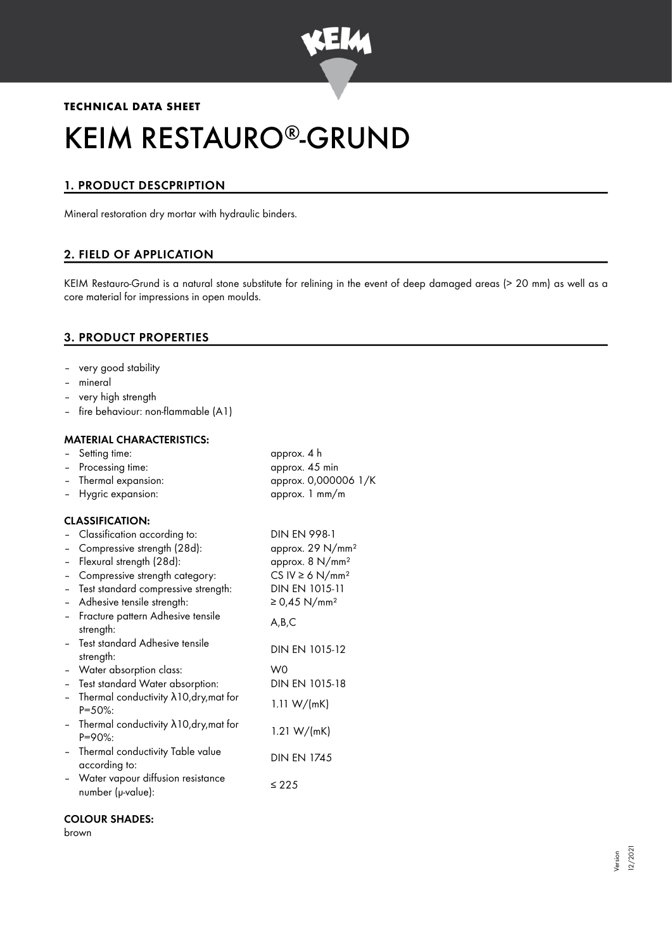

# **TECHNICAL DATA SHEET** KEIM RESTAURO®-GRUND

## 1. PRODUCT DESCPRIPTION

Mineral restoration dry mortar with hydraulic binders.

## 2. FIELD OF APPLICATION

KEIM Restauro-Grund is a natural stone substitute for relining in the event of deep damaged areas (> 20 mm) as well as a core material for impressions in open moulds.

## 3. PRODUCT PROPERTIES

- very good stability
- mineral
- very high strength
- fire behaviour: non-flammable (A1)

#### MATERIAL CHARACTERISTICS:

|                          | - Setting time:                                                 | approx. 4 h                      |
|--------------------------|-----------------------------------------------------------------|----------------------------------|
|                          | Processing time:                                                | approx. 45 min                   |
|                          | Thermal expansion:                                              | approx. 0,000006 1/K             |
|                          | Hygric expansion:                                               | approx. 1 mm/m                   |
|                          | <b>CLASSIFICATION:</b>                                          |                                  |
|                          | Classification according to:                                    | <b>DIN EN 998-1</b>              |
|                          | Compressive strength (28d):                                     | approx. 29 N/mm <sup>2</sup>     |
|                          | Flexural strength (28d):                                        | approx. 8 N/mm <sup>2</sup>      |
|                          | Compressive strength category:                                  | CS IV $\geq 6$ N/mm <sup>2</sup> |
|                          | Test standard compressive strength:                             | DIN EN 1015-11                   |
| $\overline{\phantom{0}}$ | Adhesive tensile strength:                                      | ≥ 0,45 N/mm <sup>2</sup>         |
|                          | Fracture pattern Adhesive tensile<br>strength:                  | A,B,C                            |
|                          | Test standard Adhesive tensile<br>strength:                     | DIN EN 1015-12                   |
| $\sim$                   | Water absorption class:                                         | W0                               |
| $\equiv$                 | Test standard Water absorption:                                 | DIN EN 1015-18                   |
|                          | Thermal conductivity $\lambda$ 10, dry, mat for<br>$P = 50\%$ : | 1.11 $W/(mK)$                    |
| $\overline{\phantom{0}}$ | Thermal conductivity $\lambda$ 10, dry, mat for<br>$P = 90\%$ : | 1.21 $W/(mK)$                    |
| $\overline{\phantom{a}}$ | Thermal conductivity Table value<br>according to:               | <b>DIN EN 1745</b>               |
|                          | Water vapour diffusion resistance<br>number (µ-value):          | $\leq 225$                       |

#### COLOUR SHADES:

brown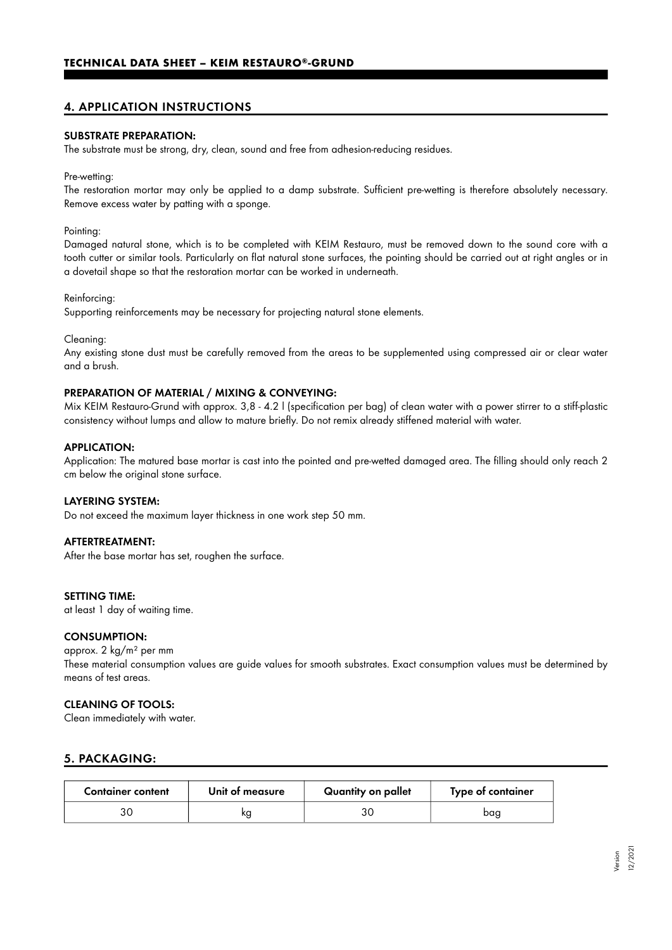## 4. APPLICATION INSTRUCTIONS

#### SUBSTRATE PREPARATION:

The substrate must be strong, dry, clean, sound and free from adhesion-reducing residues.

#### Pre-wetting:

The restoration mortar may only be applied to a damp substrate. Sufficient pre-wetting is therefore absolutely necessary. Remove excess water by patting with a sponge.

#### Pointing:

Damaged natural stone, which is to be completed with KEIM Restauro, must be removed down to the sound core with a tooth cutter or similar tools. Particularly on flat natural stone surfaces, the pointing should be carried out at right angles or in a dovetail shape so that the restoration mortar can be worked in underneath.

#### Reinforcing:

Supporting reinforcements may be necessary for projecting natural stone elements.

Cleaning:

Any existing stone dust must be carefully removed from the areas to be supplemented using compressed air or clear water and a brush.

#### PREPARATION OF MATERIAL / MIXING & CONVEYING:

Mix KEIM Restauro-Grund with approx. 3,8 - 4.2 l (specification per bag) of clean water with a power stirrer to a stiff-plastic consistency without lumps and allow to mature briefly. Do not remix already stiffened material with water.

#### APPLICATION:

Application: The matured base mortar is cast into the pointed and pre-wetted damaged area. The filling should only reach 2 cm below the original stone surface.

#### LAYERING SYSTEM:

Do not exceed the maximum layer thickness in one work step 50 mm.

#### AFTERTREATMENT:

After the base mortar has set, roughen the surface.

#### SETTING TIME:

at least 1 day of waiting time.

#### CONSUMPTION:

approx. 2 kg/m² per mm These material consumption values are guide values for smooth substrates. Exact consumption values must be determined by means of test areas.

#### CLEANING OF TOOLS:

Clean immediately with water.

### 5. PACKAGING:

| <b>Container content</b> | Unit of measure | Quantity on pallet | Type of container |
|--------------------------|-----------------|--------------------|-------------------|
|                          | KO              |                    | bag               |